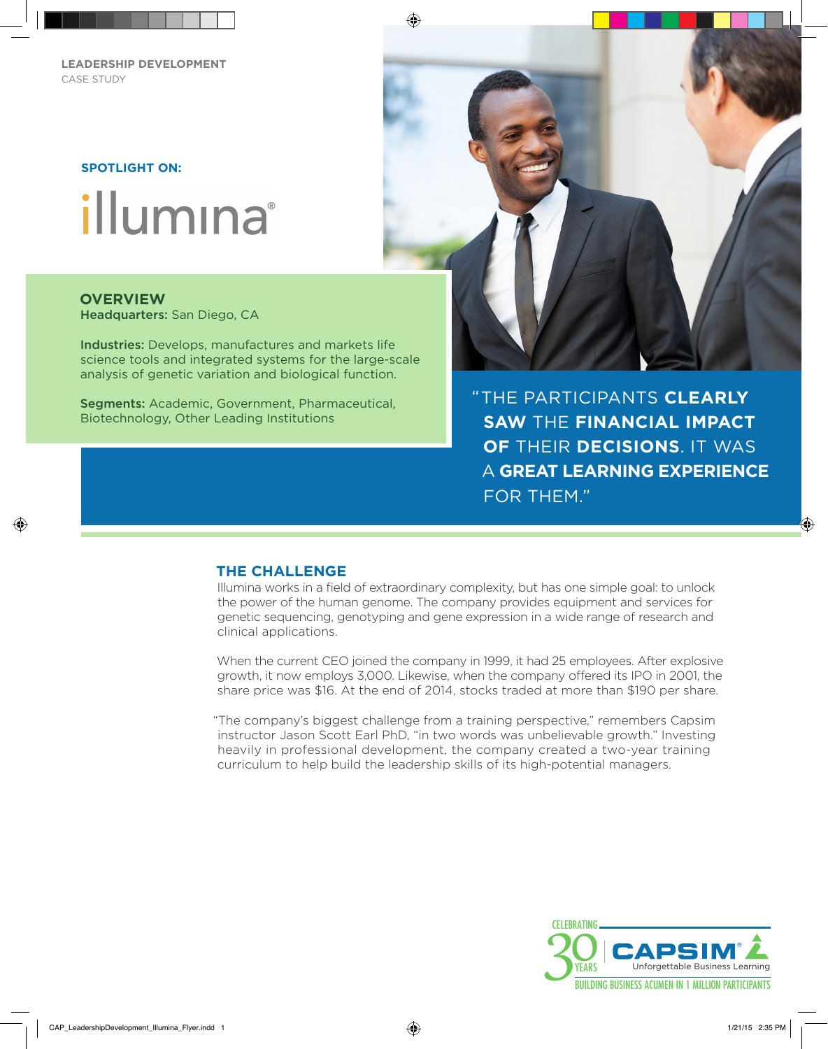**LEADERSHIP DEVELOPMENT** CASE STUDY

#### **SPOTLIGHT ON:**

# illumına

# **OVERVIEW**

⊕

Headquarters: San Diego, CA

Industries: Develops, manufactures and markets life science tools and integrated systems for the large-scale analysis of genetic variation and biological function.

Segments: Academic, Government, Pharmaceutical, Biotechnology, Other Leading Institutions



THE PARTICIPANTS **CLEARLY**  " **SAW** THE **FINANCIAL IMPACT OF** THEIR **DECISIONS**. IT WAS A **GREAT LEARNING EXPERIENCE** FOR THEM."

## **THE CHALLENGE**

Illumina works in a field of extraordinary complexity, but has one simple goal: to unlock the power of the human genome. The company provides equipment and services for genetic sequencing, genotyping and gene expression in a wide range of research and clinical applications.

When the current CEO joined the company in 1999, it had 25 employees. After explosive growth, it now employs 3,000. Likewise, when the company offered its IPO in 2001, the share price was \$16. At the end of 2014, stocks traded at more than \$190 per share.

"The company's biggest challenge from a training perspective," remembers Capsim instructor Jason Scott Earl PhD, "in two words was unbelievable growth." Investing heavily in professional development, the company created a two-year training curriculum to help build the leadership skills of its high-potential managers.



⊕